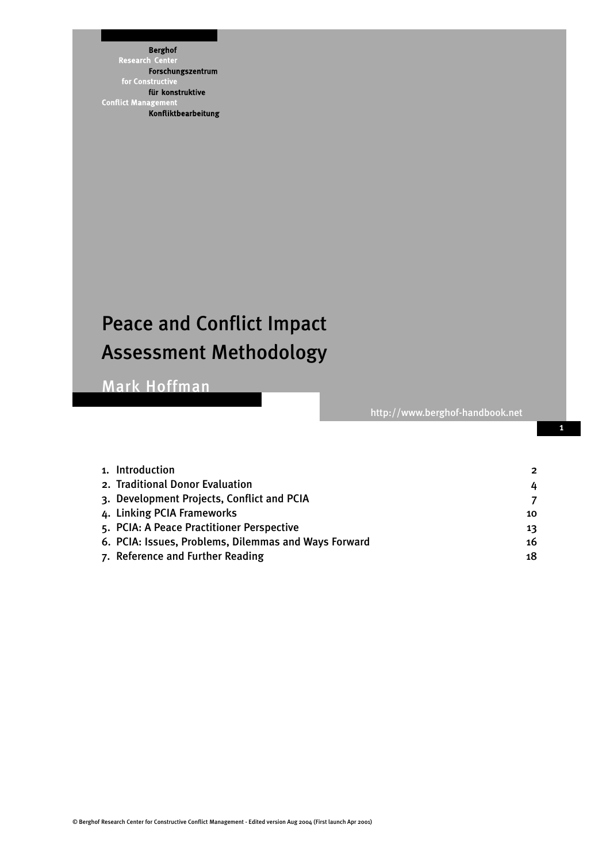**Berghof Research Cente** Forschungszentrum for Constructive für konstruktive **Conflict Manas** Konfliktbearbeitung

# Peace and Conflict Impact Assessment Methodology

Mark Hoffman

#### http://www.berghof-handbook.net

| 1. Introduction                                      | $\overline{2}$ |
|------------------------------------------------------|----------------|
| 2. Traditional Donor Evaluation                      | 4              |
| 3. Development Projects, Conflict and PCIA           | 7              |
| 4. Linking PCIA Frameworks                           | 10             |
| 5. PCIA: A Peace Practitioner Perspective            | 13             |
| 6. PCIA: Issues, Problems, Dilemmas and Ways Forward | 16             |
| 7. Reference and Further Reading                     | 18             |
|                                                      |                |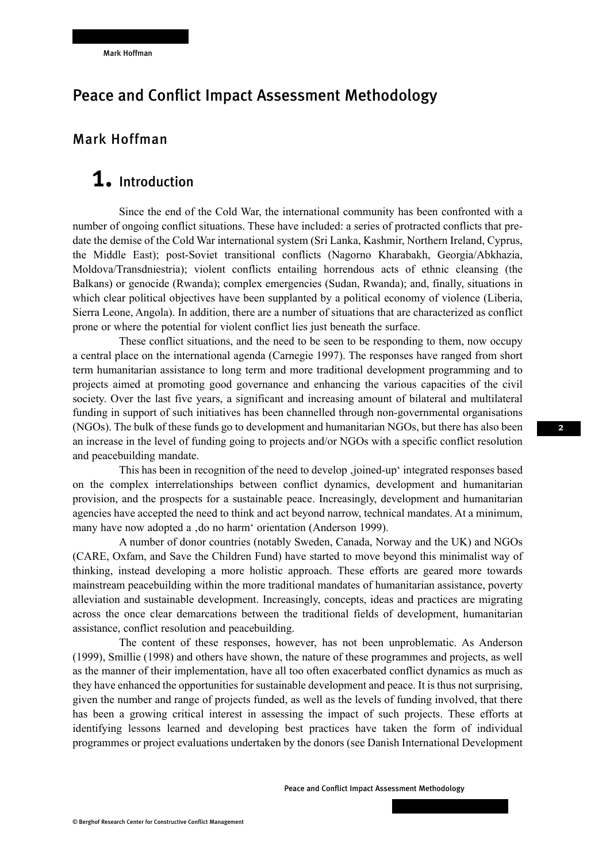### Peace and Conflict Impact Assessment Methodology

### Mark Hoffman

### 1. Introduction

Since the end of the Cold War, the international community has been confronted with a number of ongoing conflict situations. These have included: a series of protracted conflicts that predate the demise of the Cold War international system (Sri Lanka, Kashmir, Northern Ireland, Cyprus, the Middle East); post-Soviet transitional conflicts (Nagorno Kharabakh, Georgia/Abkhazia, Moldova/Transdniestria); violent conflicts entailing horrendous acts of ethnic cleansing (the Balkans) or genocide (Rwanda); complex emergencies (Sudan, Rwanda); and, finally, situations in which clear political objectives have been supplanted by a political economy of violence (Liberia, Sierra Leone, Angola). In addition, there are a number of situations that are characterized as conflict prone or where the potential for violent conflict lies just beneath the surface.

These conflict situations, and the need to be seen to be responding to them, now occupy a central place on the international agenda (Carnegie 1997). The responses have ranged from short term humanitarian assistance to long term and more traditional development programming and to projects aimed at promoting good governance and enhancing the various capacities of the civil society. Over the last five years, a significant and increasing amount of bilateral and multilateral funding in support of such initiatives has been channelled through non-governmental organisations (NGOs). The bulk of these funds go to development and humanitarian NGOs, but there has also been an increase in the level of funding going to projects and/or NGOs with a specific conflict resolution and peacebuilding mandate.

This has been in recognition of the need to develop, joined-up' integrated responses based on the complex interrelationships between conflict dynamics, development and humanitarian provision, and the prospects for a sustainable peace. Increasingly, development and humanitarian agencies have accepted the need to think and act beyond narrow, technical mandates. At a minimum, many have now adopted a ,do no harm' orientation (Anderson 1999).

A number of donor countries (notably Sweden, Canada, Norway and the UK) and NGOs (CARE, Oxfam, and Save the Children Fund) have started to move beyond this minimalist way of thinking, instead developing a more holistic approach. These efforts are geared more towards mainstream peacebuilding within the more traditional mandates of humanitarian assistance, poverty alleviation and sustainable development. Increasingly, concepts, ideas and practices are migrating across the once clear demarcations between the traditional fields of development, humanitarian assistance, conflict resolution and peacebuilding.

The content of these responses, however, has not been unproblematic. As Anderson (1999), Smillie (1998) and others have shown, the nature of these programmes and projects, as well as the manner of their implementation, have all too often exacerbated conflict dynamics as much as they have enhanced the opportunities for sustainable development and peace. It is thus not surprising, given the number and range of projects funded, as well as the levels of funding involved, that there has been a growing critical interest in assessing the impact of such projects. These efforts at identifying lessons learned and developing best practices have taken the form of individual programmes or project evaluations undertaken by the donors (see Danish International Development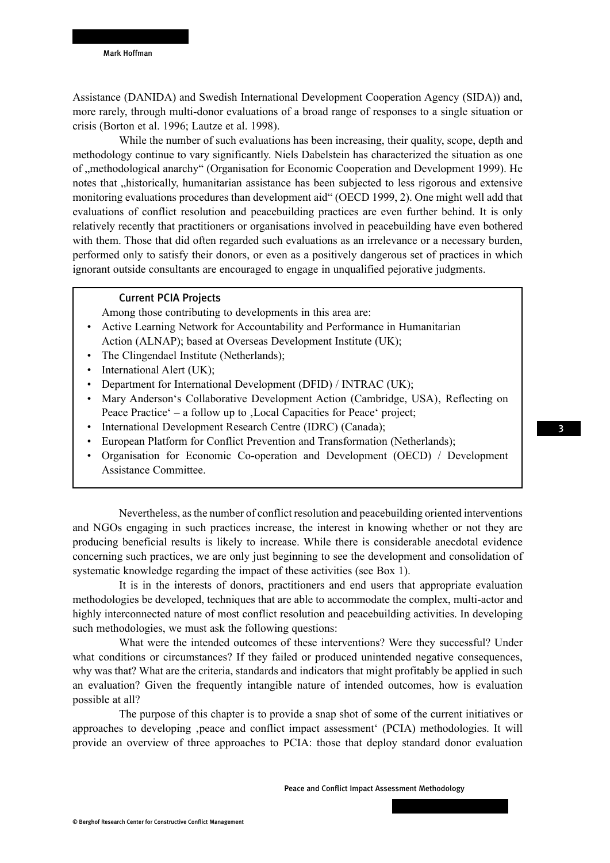Assistance (DANIDA) and Swedish International Development Cooperation Agency (SIDA)) and, more rarely, through multi-donor evaluations of a broad range of responses to a single situation or crisis (Borton et al. 1996; Lautze et al. 1998).

While the number of such evaluations has been increasing, their quality, scope, depth and methodology continue to vary significantly. Niels Dabelstein has characterized the situation as one of , methodological anarchy" (Organisation for Economic Cooperation and Development 1999). He notes that  $\alpha$ , historically, humanitarian assistance has been subjected to less rigorous and extensive monitoring evaluations procedures than development aid" (OECD 1999, 2). One might well add that evaluations of conflict resolution and peacebuilding practices are even further behind. It is only relatively recently that practitioners or organisations involved in peacebuilding have even bothered with them. Those that did often regarded such evaluations as an irrelevance or a necessary burden, performed only to satisfy their donors, or even as a positively dangerous set of practices in which ignorant outside consultants are encouraged to engage in unqualified pejorative judgments.

#### Current PCIA Projects

Among those contributing to developments in this area are:

- Active Learning Network for Accountability and Performance in Humanitarian Action (ALNAP); based at Overseas Development Institute (UK);
- The Clingendael Institute (Netherlands):
- International Alert (UK);
- Department for International Development (DFID) / INTRAC (UK);
- Mary Anderson's Collaborative Development Action (Cambridge, USA), Reflecting on Peace Practice' – a follow up to , Local Capacities for Peace' project;
- International Development Research Centre (IDRC) (Canada);
- European Platform for Conflict Prevention and Transformation (Netherlands);
- Organisation for Economic Co-operation and Development (OECD) / Development Assistance Committee.

Nevertheless, as the number of conflict resolution and peacebuilding oriented interventions and NGOs engaging in such practices increase, the interest in knowing whether or not they are producing beneficial results is likely to increase. While there is considerable anecdotal evidence concerning such practices, we are only just beginning to see the development and consolidation of systematic knowledge regarding the impact of these activities (see Box 1).

It is in the interests of donors, practitioners and end users that appropriate evaluation methodologies be developed, techniques that are able to accommodate the complex, multi-actor and highly interconnected nature of most conflict resolution and peacebuilding activities. In developing such methodologies, we must ask the following questions:

What were the intended outcomes of these interventions? Were they successful? Under what conditions or circumstances? If they failed or produced unintended negative consequences, why was that? What are the criteria, standards and indicators that might profitably be applied in such an evaluation? Given the frequently intangible nature of intended outcomes, how is evaluation possible at all?

The purpose of this chapter is to provide a snap shot of some of the current initiatives or approaches to developing 'peace and conflict impact assessment' (PCIA) methodologies. It will provide an overview of three approaches to PCIA: those that deploy standard donor evaluation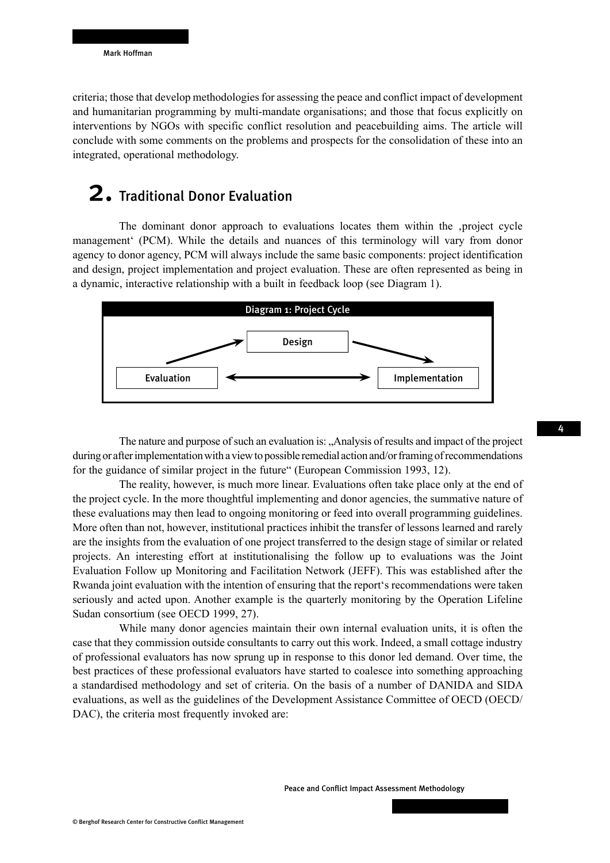criteria; those that develop methodologies for assessing the peace and conflict impact of development and humanitarian programming by multi-mandate organisations; and those that focus explicitly on interventions by NGOs with specific conflict resolution and peacebuilding aims. The article will conclude with some comments on the problems and prospects for the consolidation of these into an integrated, operational methodology.

### 2. Traditional Donor Evaluation

The dominant donor approach to evaluations locates them within the 'project cycle management' (PCM). While the details and nuances of this terminology will vary from donor agency to donor agency, PCM will always include the same basic components: project identification and design, project implementation and project evaluation. These are often represented as being in a dynamic, interactive relationship with a built in feedback loop (see Diagram 1).



The nature and purpose of such an evaluation is: "Analysis of results and impact of the project during or after implementation with a view to possible remedial action and/or framing of recommendations for the guidance of similar project in the future" (European Commission 1993, 12).

The reality, however, is much more linear. Evaluations often take place only at the end of the project cycle. In the more thoughtful implementing and donor agencies, the summative nature of these evaluations may then lead to ongoing monitoring or feed into overall programming guidelines. More often than not, however, institutional practices inhibit the transfer of lessons learned and rarely are the insights from the evaluation of one project transferred to the design stage of similar or related projects. An interesting effort at institutionalising the follow up to evaluations was the Joint Evaluation Follow up Monitoring and Facilitation Network (JEFF). This was established after the Rwanda joint evaluation with the intention of ensuring that the report's recommendations were taken seriously and acted upon. Another example is the quarterly monitoring by the Operation Lifeline Sudan consortium (see OECD 1999, 27).

While many donor agencies maintain their own internal evaluation units, it is often the case that they commission outside consultants to carry out this work. Indeed, a small cottage industry of professional evaluators has now sprung up in response to this donor led demand. Over time, the best practices of these professional evaluators have started to coalesce into something approaching a standardised methodology and set of criteria. On the basis of a number of DANIDA and SIDA evaluations, as well as the guidelines of the Development Assistance Committee of OECD (OECD/ DAC), the criteria most frequently invoked are: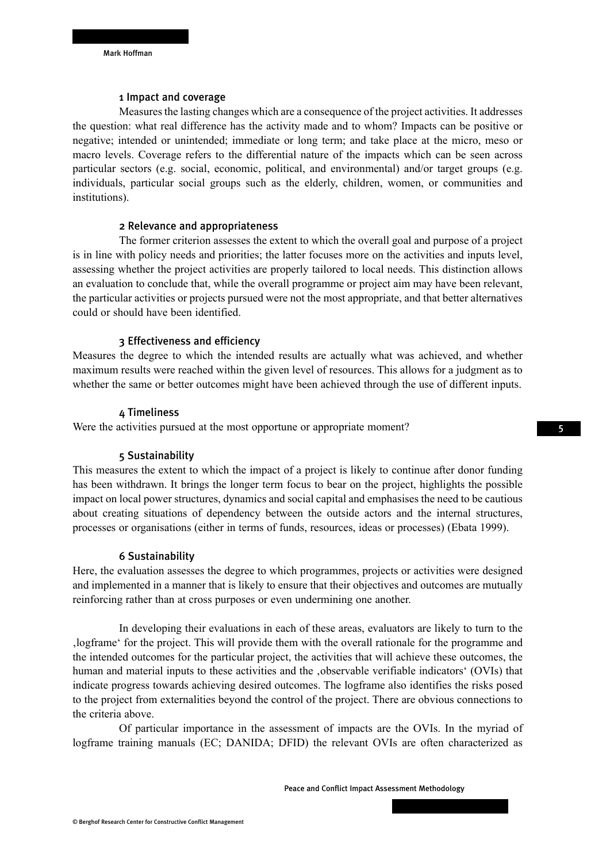#### 1 Impact and coverage

Measures the lasting changes which are a consequence of the project activities. It addresses the question: what real difference has the activity made and to whom? Impacts can be positive or negative; intended or unintended; immediate or long term; and take place at the micro, meso or macro levels. Coverage refers to the differential nature of the impacts which can be seen across particular sectors (e.g. social, economic, political, and environmental) and/or target groups (e.g. individuals, particular social groups such as the elderly, children, women, or communities and institutions).

#### 2 Relevance and appropriateness

The former criterion assesses the extent to which the overall goal and purpose of a project is in line with policy needs and priorities; the latter focuses more on the activities and inputs level, assessing whether the project activities are properly tailored to local needs. This distinction allows an evaluation to conclude that, while the overall programme or project aim may have been relevant, the particular activities or projects pursued were not the most appropriate, and that better alternatives could or should have been identified.

#### 3 Effectiveness and efficiency

Measures the degree to which the intended results are actually what was achieved, and whether maximum results were reached within the given level of resources. This allows for a judgment as to whether the same or better outcomes might have been achieved through the use of different inputs.

#### 4 Timeliness

Were the activities pursued at the most opportune or appropriate moment?

#### 5 Sustainability

This measures the extent to which the impact of a project is likely to continue after donor funding has been withdrawn. It brings the longer term focus to bear on the project, highlights the possible impact on local power structures, dynamics and social capital and emphasises the need to be cautious about creating situations of dependency between the outside actors and the internal structures, processes or organisations (either in terms of funds, resources, ideas or processes) (Ebata 1999).

#### 6 Sustainability

Here, the evaluation assesses the degree to which programmes, projects or activities were designed and implemented in a manner that is likely to ensure that their objectives and outcomes are mutually reinforcing rather than at cross purposes or even undermining one another.

In developing their evaluations in each of these areas, evaluators are likely to turn to the 'logframe' for the project. This will provide them with the overall rationale for the programme and the intended outcomes for the particular project, the activities that will achieve these outcomes, the human and material inputs to these activities and the , observable verifiable indicators' (OVIs) that indicate progress towards achieving desired outcomes. The logframe also identifies the risks posed to the project from externalities beyond the control of the project. There are obvious connections to the criteria above.

Of particular importance in the assessment of impacts are the OVIs. In the myriad of logframe training manuals (EC; DANIDA; DFID) the relevant OVIs are often characterized as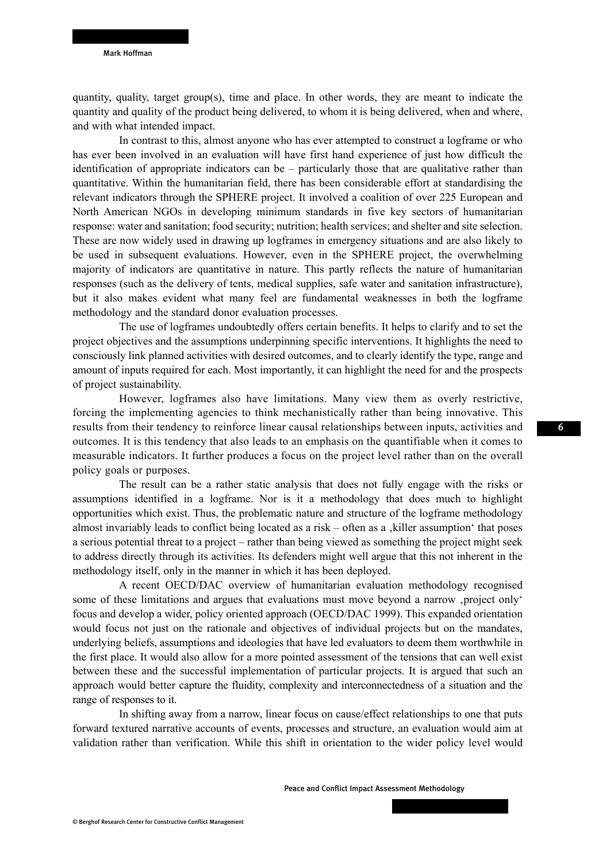quantity, quality, target group(s), time and place. In other words, they are meant to indicate the quantity and quality of the product being delivered, to whom it is being delivered, when and where, and with what intended impact.

In contrast to this, almost anyone who has ever attempted to construct a logframe or who has ever been involved in an evaluation will have first hand experience of just how difficult the identification of appropriate indicators can be – particularly those that are qualitative rather than quantitative. Within the humanitarian field, there has been considerable effort at standardising the relevant indicators through the SPHERE project. It involved a coalition of over 225 European and North American NGOs in developing minimum standards in five key sectors of humanitarian response: water and sanitation; food security; nutrition; health services; and shelter and site selection. These are now widely used in drawing up logframes in emergency situations and are also likely to be used in subsequent evaluations. However, even in the SPHERE project, the overwhelming majority of indicators are quantitative in nature. This partly reflects the nature of humanitarian responses (such as the delivery of tents, medical supplies, safe water and sanitation infrastructure), but it also makes evident what many feel are fundamental weaknesses in both the logframe methodology and the standard donor evaluation processes.

The use of logframes undoubtedly offers certain benefits. It helps to clarify and to set the project objectives and the assumptions underpinning specific interventions. It highlights the need to consciously link planned activities with desired outcomes, and to clearly identify the type, range and amount of inputs required for each. Most importantly, it can highlight the need for and the prospects of project sustainability.

However, logframes also have limitations. Many view them as overly restrictive, forcing the implementing agencies to think mechanistically rather than being innovative. This results from their tendency to reinforce linear causal relationships between inputs, activities and outcomes. It is this tendency that also leads to an emphasis on the quantifiable when it comes to measurable indicators. It further produces a focus on the project level rather than on the overall policy goals or purposes.

The result can be a rather static analysis that does not fully engage with the risks or assumptions identified in a logframe. Nor is it a methodology that does much to highlight opportunities which exist. Thus, the problematic nature and structure of the logframe methodology almost invariably leads to conflict being located as a risk – often as a 'killer assumption' that poses a serious potential threat to a project – rather than being viewed as something the project might seek to address directly through its activities. Its defenders might well argue that this not inherent in the methodology itself, only in the manner in which it has been deployed.

A recent OECD/DAC overview of humanitarian evaluation methodology recognised some of these limitations and argues that evaluations must move beyond a narrow , project only focus and develop a wider, policy oriented approach (OECD/DAC 1999). This expanded orientation would focus not just on the rationale and objectives of individual projects but on the mandates, underlying beliefs, assumptions and ideologies that have led evaluators to deem them worthwhile in the first place. It would also allow for a more pointed assessment of the tensions that can well exist between these and the successful implementation of particular projects. It is argued that such an approach would better capture the fluidity, complexity and interconnectedness of a situation and the range of responses to it.

In shifting away from a narrow, linear focus on cause/effect relationships to one that puts forward textured narrative accounts of events, processes and structure, an evaluation would aim at validation rather than verification. While this shift in orientation to the wider policy level would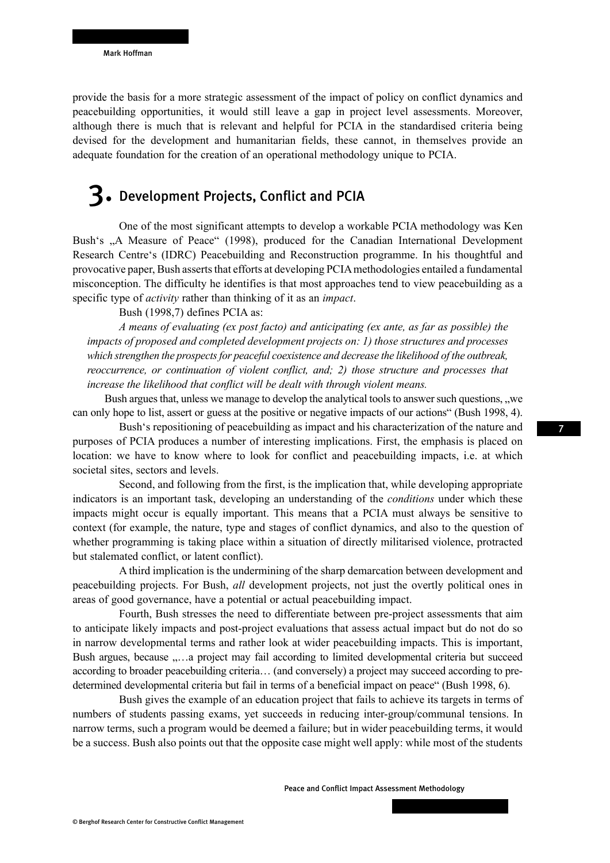provide the basis for a more strategic assessment of the impact of policy on conflict dynamics and peacebuilding opportunities, it would still leave a gap in project level assessments. Moreover, although there is much that is relevant and helpful for PCIA in the standardised criteria being devised for the development and humanitarian fields, these cannot, in themselves provide an adequate foundation for the creation of an operational methodology unique to PCIA.

### 3. Development Projects, Conflict and PCIA

One of the most significant attempts to develop a workable PCIA methodology was Ken Bush's "A Measure of Peace" (1998), produced for the Canadian International Development Research Centre's (IDRC) Peacebuilding and Reconstruction programme. In his thoughtful and provocative paper, Bush asserts that efforts at developing PCIA methodologies entailed a fundamental misconception. The difficulty he identifies is that most approaches tend to view peacebuilding as a specific type of *activity* rather than thinking of it as an *impact*.

Bush (1998,7) defines PCIA as:

*A means of evaluating (ex post facto) and anticipating (ex ante, as far as possible) the impacts of proposed and completed development projects on: 1) those structures and processes which strengthen the prospects for peaceful coexistence and decrease the likelihood of the outbreak, reoccurrence, or continuation of violent conflict, and; 2) those structure and processes that increase the likelihood that conflict will be dealt with through violent means.*

Bush argues that, unless we manage to develop the analytical tools to answer such questions, we can only hope to list, assert or guess at the positive or negative impacts of our actions" (Bush 1998, 4).

Bush's repositioning of peacebuilding as impact and his characterization of the nature and purposes of PCIA produces a number of interesting implications. First, the emphasis is placed on location: we have to know where to look for conflict and peacebuilding impacts, i.e. at which societal sites, sectors and levels.

Second, and following from the first, is the implication that, while developing appropriate indicators is an important task, developing an understanding of the *conditions* under which these impacts might occur is equally important. This means that a PCIA must always be sensitive to context (for example, the nature, type and stages of conflict dynamics, and also to the question of whether programming is taking place within a situation of directly militarised violence, protracted but stalemated conflict, or latent conflict).

A third implication is the undermining of the sharp demarcation between development and peacebuilding projects. For Bush, *all* development projects, not just the overtly political ones in areas of good governance, have a potential or actual peacebuilding impact.

Fourth, Bush stresses the need to differentiate between pre-project assessments that aim to anticipate likely impacts and post-project evaluations that assess actual impact but do not do so in narrow developmental terms and rather look at wider peacebuilding impacts. This is important, Bush argues, because .....a project may fail according to limited developmental criteria but succeed according to broader peacebuilding criteria… (and conversely) a project may succeed according to predetermined developmental criteria but fail in terms of a beneficial impact on peace" (Bush 1998, 6).

Bush gives the example of an education project that fails to achieve its targets in terms of numbers of students passing exams, yet succeeds in reducing inter-group/communal tensions. In narrow terms, such a program would be deemed a failure; but in wider peacebuilding terms, it would be a success. Bush also points out that the opposite case might well apply: while most of the students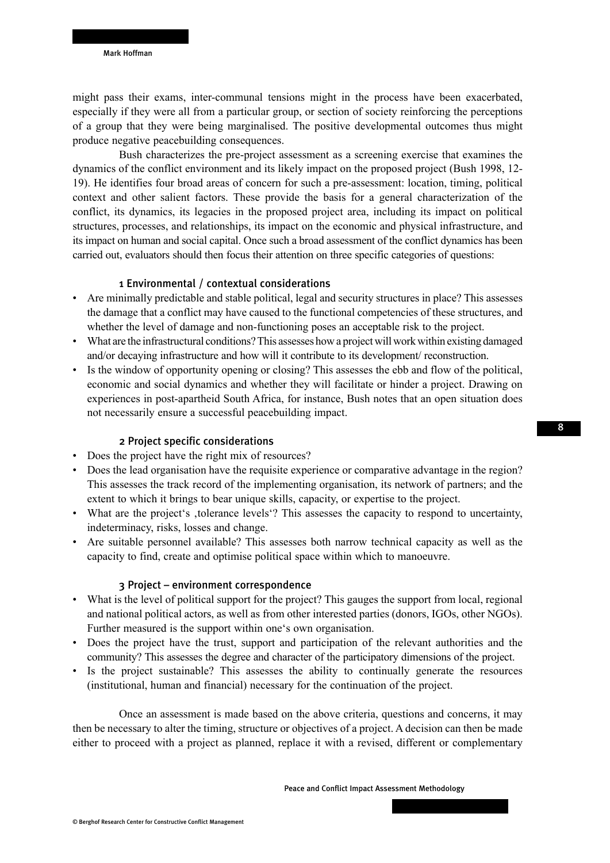might pass their exams, inter-communal tensions might in the process have been exacerbated, especially if they were all from a particular group, or section of society reinforcing the perceptions of a group that they were being marginalised. The positive developmental outcomes thus might produce negative peacebuilding consequences.

Bush characterizes the pre-project assessment as a screening exercise that examines the dynamics of the conflict environment and its likely impact on the proposed project (Bush 1998, 12- 19). He identifies four broad areas of concern for such a pre-assessment: location, timing, political context and other salient factors. These provide the basis for a general characterization of the conflict, its dynamics, its legacies in the proposed project area, including its impact on political structures, processes, and relationships, its impact on the economic and physical infrastructure, and its impact on human and social capital. Once such a broad assessment of the conflict dynamics has been carried out, evaluators should then focus their attention on three specific categories of questions:

#### 1 Environmental / contextual considerations

- Are minimally predictable and stable political, legal and security structures in place? This assesses the damage that a conflict may have caused to the functional competencies of these structures, and whether the level of damage and non-functioning poses an acceptable risk to the project.
- What are the infrastructural conditions? This assesses how a project will work within existing damaged and/or decaying infrastructure and how will it contribute to its development/ reconstruction.
- Is the window of opportunity opening or closing? This assesses the ebb and flow of the political, economic and social dynamics and whether they will facilitate or hinder a project. Drawing on experiences in post-apartheid South Africa, for instance, Bush notes that an open situation does not necessarily ensure a successful peacebuilding impact.

#### 2 Project specific considerations

- Does the project have the right mix of resources?
- Does the lead organisation have the requisite experience or comparative advantage in the region? This assesses the track record of the implementing organisation, its network of partners; and the extent to which it brings to bear unique skills, capacity, or expertise to the project.
- What are the project's , tolerance levels'? This assesses the capacity to respond to uncertainty, indeterminacy, risks, losses and change.
- Are suitable personnel available? This assesses both narrow technical capacity as well as the capacity to find, create and optimise political space within which to manoeuvre.

#### 3 Project – environment correspondence

- What is the level of political support for the project? This gauges the support from local, regional and national political actors, as well as from other interested parties (donors, IGOs, other NGOs). Further measured is the support within one's own organisation.
- Does the project have the trust, support and participation of the relevant authorities and the community? This assesses the degree and character of the participatory dimensions of the project.
- Is the project sustainable? This assesses the ability to continually generate the resources (institutional, human and financial) necessary for the continuation of the project.

Once an assessment is made based on the above criteria, questions and concerns, it may then be necessary to alter the timing, structure or objectives of a project. A decision can then be made either to proceed with a project as planned, replace it with a revised, different or complementary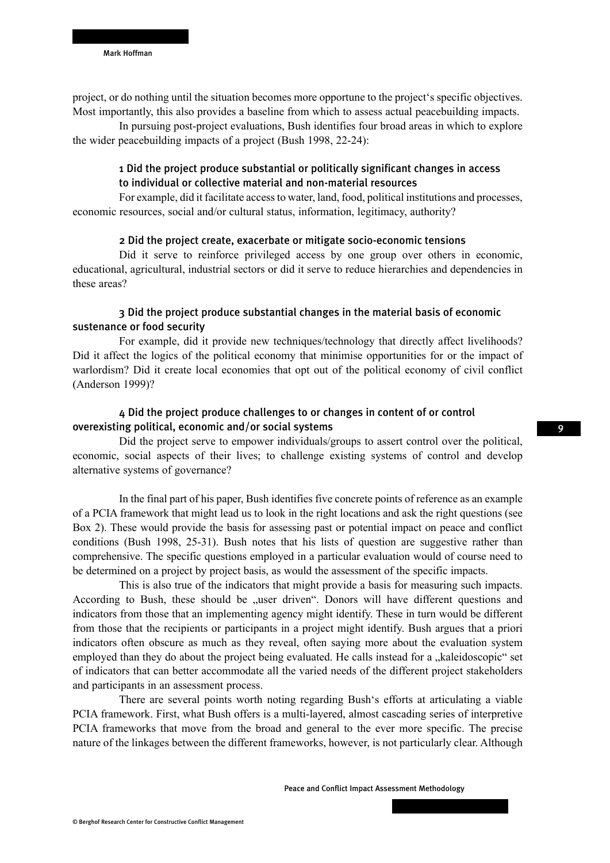project, or do nothing until the situation becomes more opportune to the project's specific objectives. Most importantly, this also provides a baseline from which to assess actual peacebuilding impacts.

In pursuing post-project evaluations, Bush identifies four broad areas in which to explore the wider peacebuilding impacts of a project (Bush 1998, 22-24):

#### 1 Did the project produce substantial or politically significant changes in access to individual or collective material and non-material resources

For example, did it facilitate access to water, land, food, political institutions and processes, economic resources, social and/or cultural status, information, legitimacy, authority?

#### 2 Did the project create, exacerbate or mitigate socio-economic tensions

Did it serve to reinforce privileged access by one group over others in economic, educational, agricultural, industrial sectors or did it serve to reduce hierarchies and dependencies in these areas?

#### 3 Did the project produce substantial changes in the material basis of economic sustenance or food security

 For example, did it provide new techniques/technology that directly affect livelihoods? Did it affect the logics of the political economy that minimise opportunities for or the impact of warlordism? Did it create local economies that opt out of the political economy of civil conflict (Anderson 1999)?

#### 4 Did the project produce challenges to or changes in content of or control overexisting political, economic and/or social systems

Did the project serve to empower individuals/groups to assert control over the political, economic, social aspects of their lives; to challenge existing systems of control and develop alternative systems of governance?

In the final part of his paper, Bush identifies five concrete points of reference as an example of a PCIA framework that might lead us to look in the right locations and ask the right questions (see Box 2). These would provide the basis for assessing past or potential impact on peace and conflict conditions (Bush 1998, 25-31). Bush notes that his lists of question are suggestive rather than comprehensive. The specific questions employed in a particular evaluation would of course need to be determined on a project by project basis, as would the assessment of the specific impacts.

This is also true of the indicators that might provide a basis for measuring such impacts. According to Bush, these should be "user driven". Donors will have different questions and indicators from those that an implementing agency might identify. These in turn would be different from those that the recipients or participants in a project might identify. Bush argues that a priori indicators often obscure as much as they reveal, often saying more about the evaluation system employed than they do about the project being evaluated. He calls instead for a "kaleidoscopic" set of indicators that can better accommodate all the varied needs of the different project stakeholders and participants in an assessment process.

There are several points worth noting regarding Bush's efforts at articulating a viable PCIA framework. First, what Bush offers is a multi-layered, almost cascading series of interpretive PCIA frameworks that move from the broad and general to the ever more specific. The precise nature of the linkages between the different frameworks, however, is not particularly clear. Although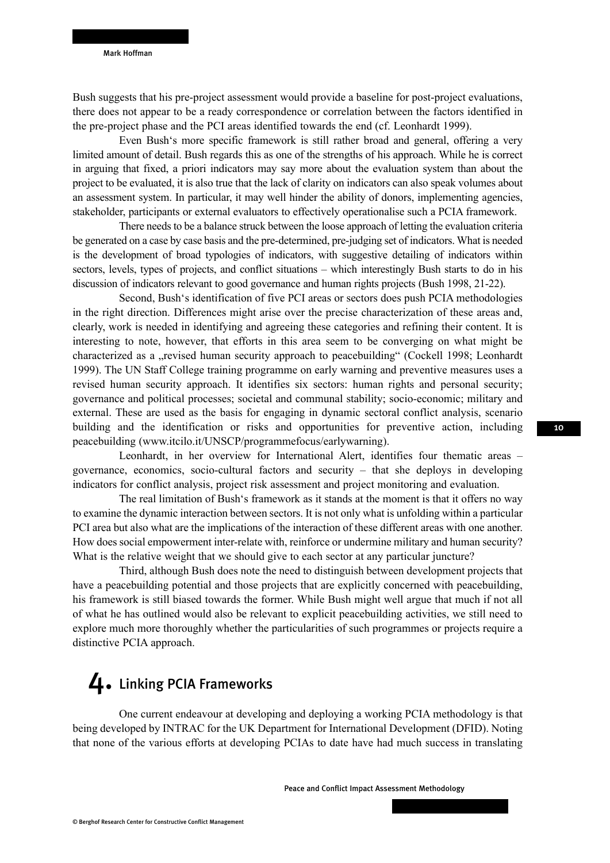Bush suggests that his pre-project assessment would provide a baseline for post-project evaluations, there does not appear to be a ready correspondence or correlation between the factors identified in the pre-project phase and the PCI areas identified towards the end (cf. Leonhardt 1999).

Even Bush's more specific framework is still rather broad and general, offering a very limited amount of detail. Bush regards this as one of the strengths of his approach. While he is correct in arguing that fixed, a priori indicators may say more about the evaluation system than about the project to be evaluated, it is also true that the lack of clarity on indicators can also speak volumes about an assessment system. In particular, it may well hinder the ability of donors, implementing agencies, stakeholder, participants or external evaluators to effectively operationalise such a PCIA framework.

There needs to be a balance struck between the loose approach of letting the evaluation criteria be generated on a case by case basis and the pre-determined, pre-judging set of indicators. What is needed is the development of broad typologies of indicators, with suggestive detailing of indicators within sectors, levels, types of projects, and conflict situations – which interestingly Bush starts to do in his discussion of indicators relevant to good governance and human rights projects (Bush 1998, 21-22).

Second, Bush's identification of five PCI areas or sectors does push PCIA methodologies in the right direction. Differences might arise over the precise characterization of these areas and, clearly, work is needed in identifying and agreeing these categories and refining their content. It is interesting to note, however, that efforts in this area seem to be converging on what might be characterized as a "revised human security approach to peacebuilding" (Cockell 1998; Leonhardt 1999). The UN Staff College training programme on early warning and preventive measures uses a revised human security approach. It identifies six sectors: human rights and personal security; governance and political processes; societal and communal stability; socio-economic; military and external. These are used as the basis for engaging in dynamic sectoral conflict analysis, scenario building and the identification or risks and opportunities for preventive action, including peacebuilding (www.itcilo.it/UNSCP/programmefocus/earlywarning).

Leonhardt, in her overview for International Alert, identifies four thematic areas – governance, economics, socio-cultural factors and security – that she deploys in developing indicators for conflict analysis, project risk assessment and project monitoring and evaluation.

The real limitation of Bush's framework as it stands at the moment is that it offers no way to examine the dynamic interaction between sectors. It is not only what is unfolding within a particular PCI area but also what are the implications of the interaction of these different areas with one another. How does social empowerment inter-relate with, reinforce or undermine military and human security? What is the relative weight that we should give to each sector at any particular juncture?

Third, although Bush does note the need to distinguish between development projects that have a peacebuilding potential and those projects that are explicitly concerned with peacebuilding, his framework is still biased towards the former. While Bush might well argue that much if not all of what he has outlined would also be relevant to explicit peacebuilding activities, we still need to explore much more thoroughly whether the particularities of such programmes or projects require a distinctive PCIA approach.

# 4. Linking PCIA Frameworks

One current endeavour at developing and deploying a working PCIA methodology is that being developed by INTRAC for the UK Department for International Development (DFID). Noting that none of the various efforts at developing PCIAs to date have had much success in translating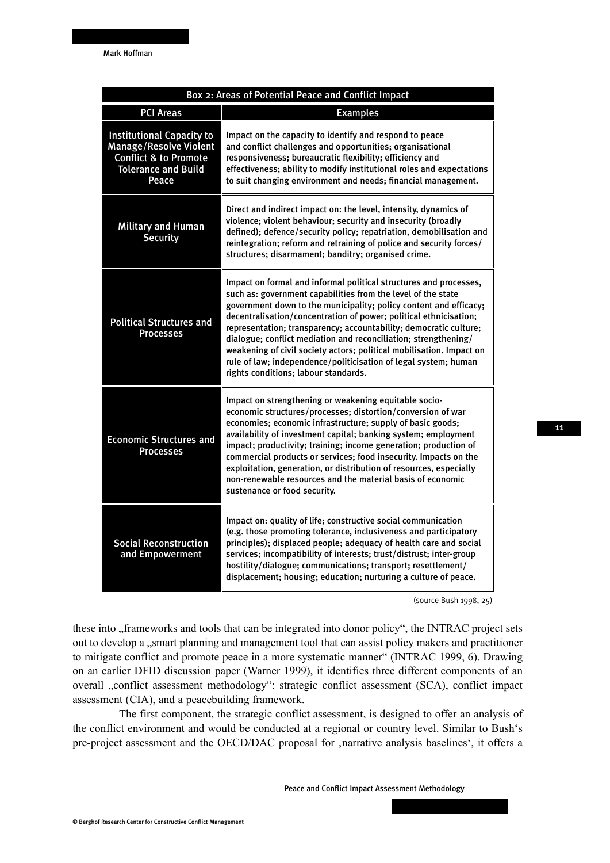| Box 2: Areas of Potential Peace and Conflict Impact                                                                                          |                                                                                                                                                                                                                                                                                                                                                                                                                                                                                                                                                                                                        |  |
|----------------------------------------------------------------------------------------------------------------------------------------------|--------------------------------------------------------------------------------------------------------------------------------------------------------------------------------------------------------------------------------------------------------------------------------------------------------------------------------------------------------------------------------------------------------------------------------------------------------------------------------------------------------------------------------------------------------------------------------------------------------|--|
| <b>PCI Areas</b>                                                                                                                             | <b>Examples</b>                                                                                                                                                                                                                                                                                                                                                                                                                                                                                                                                                                                        |  |
| <b>Institutional Capacity to</b><br><b>Manage/Resolve Violent</b><br><b>Conflict &amp; to Promote</b><br><b>Tolerance and Build</b><br>Peace | Impact on the capacity to identify and respond to peace<br>and conflict challenges and opportunities; organisational<br>responsiveness; bureaucratic flexibility; efficiency and<br>effectiveness; ability to modify institutional roles and expectations<br>to suit changing environment and needs; financial management.                                                                                                                                                                                                                                                                             |  |
| <b>Military and Human</b><br><b>Security</b>                                                                                                 | Direct and indirect impact on: the level, intensity, dynamics of<br>violence; violent behaviour; security and insecurity (broadly<br>defined); defence/security policy; repatriation, demobilisation and<br>reintegration; reform and retraining of police and security forces/<br>structures; disarmament; banditry; organised crime.                                                                                                                                                                                                                                                                 |  |
| <b>Political Structures and</b><br><b>Processes</b>                                                                                          | Impact on formal and informal political structures and processes,<br>such as: government capabilities from the level of the state<br>government down to the municipality; policy content and efficacy;<br>decentralisation/concentration of power; political ethnicisation;<br>representation; transparency; accountability; democratic culture;<br>dialogue; conflict mediation and reconciliation; strengthening/<br>weakening of civil society actors; political mobilisation. Impact on<br>rule of law; independence/politicisation of legal system; human<br>rights conditions; labour standards. |  |
| <b>Economic Structures and</b><br>Processes                                                                                                  | Impact on strengthening or weakening equitable socio-<br>economic structures/processes; distortion/conversion of war<br>economies; economic infrastructure; supply of basic goods;<br>availability of investment capital; banking system; employment<br>impact; productivity; training; income generation; production of<br>commercial products or services; food insecurity. Impacts on the<br>exploitation, generation, or distribution of resources, especially<br>non-renewable resources and the material basis of economic<br>sustenance or food security.                                       |  |
| <b>Social Reconstruction</b><br>and Empowerment                                                                                              | Impact on: quality of life; constructive social communication<br>(e.g. those promoting tolerance, inclusiveness and participatory<br>principles); displaced people; adequacy of health care and social<br>services; incompatibility of interests; trust/distrust; inter-group<br>hostility/dialogue; communications; transport; resettlement/<br>displacement; housing; education; nurturing a culture of peace.                                                                                                                                                                                       |  |

(source Bush 1998, 25)

these into "frameworks and tools that can be integrated into donor policy", the INTRAC project sets out to develop a "smart planning and management tool that can assist policy makers and practitioner to mitigate conflict and promote peace in a more systematic manner" (INTRAC 1999, 6). Drawing on an earlier DFID discussion paper (Warner 1999), it identifies three different components of an overall "conflict assessment methodology": strategic conflict assessment (SCA), conflict impact assessment (CIA), and a peacebuilding framework.

The first component, the strategic conflict assessment, is designed to offer an analysis of the conflict environment and would be conducted at a regional or country level. Similar to Bush's pre-project assessment and the OECD/DAC proposal for ,narrative analysis baselines', it offers a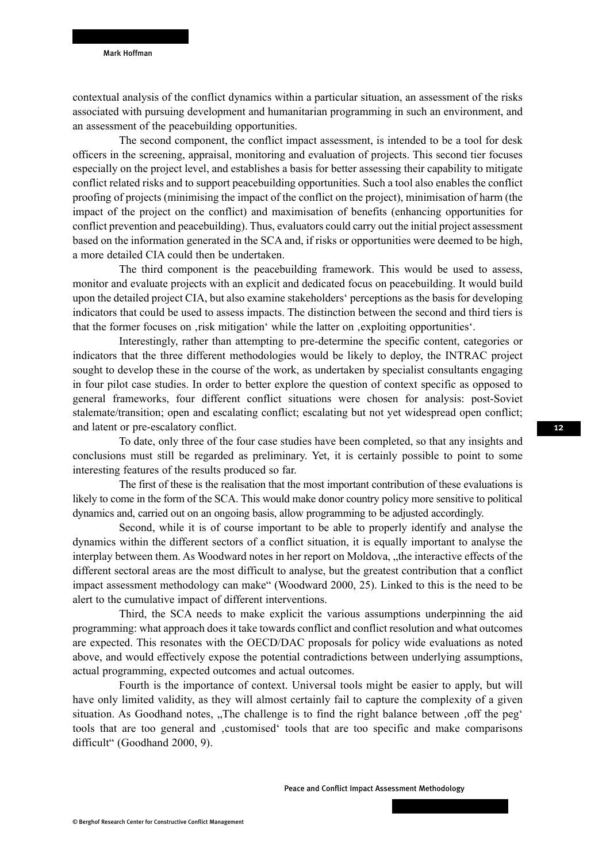contextual analysis of the conflict dynamics within a particular situation, an assessment of the risks associated with pursuing development and humanitarian programming in such an environment, and an assessment of the peacebuilding opportunities.

The second component, the conflict impact assessment, is intended to be a tool for desk officers in the screening, appraisal, monitoring and evaluation of projects. This second tier focuses especially on the project level, and establishes a basis for better assessing their capability to mitigate conflict related risks and to support peacebuilding opportunities. Such a tool also enables the conflict proofing of projects (minimising the impact of the conflict on the project), minimisation of harm (the impact of the project on the conflict) and maximisation of benefits (enhancing opportunities for conflict prevention and peacebuilding). Thus, evaluators could carry out the initial project assessment based on the information generated in the SCA and, if risks or opportunities were deemed to be high, a more detailed CIA could then be undertaken.

The third component is the peacebuilding framework. This would be used to assess, monitor and evaluate projects with an explicit and dedicated focus on peacebuilding. It would build upon the detailed project CIA, but also examine stakeholders' perceptions as the basis for developing indicators that could be used to assess impacts. The distinction between the second and third tiers is that the former focuses on ,risk mitigation' while the latter on , exploiting opportunities'.

Interestingly, rather than attempting to pre-determine the specific content, categories or indicators that the three different methodologies would be likely to deploy, the INTRAC project sought to develop these in the course of the work, as undertaken by specialist consultants engaging in four pilot case studies. In order to better explore the question of context specific as opposed to general frameworks, four different conflict situations were chosen for analysis: post-Soviet stalemate/transition; open and escalating conflict; escalating but not yet widespread open conflict; and latent or pre-escalatory conflict.

To date, only three of the four case studies have been completed, so that any insights and conclusions must still be regarded as preliminary. Yet, it is certainly possible to point to some interesting features of the results produced so far.

The first of these is the realisation that the most important contribution of these evaluations is likely to come in the form of the SCA. This would make donor country policy more sensitive to political dynamics and, carried out on an ongoing basis, allow programming to be adjusted accordingly.

Second, while it is of course important to be able to properly identify and analyse the dynamics within the different sectors of a conflict situation, it is equally important to analyse the interplay between them. As Woodward notes in her report on Moldova, "the interactive effects of the different sectoral areas are the most difficult to analyse, but the greatest contribution that a conflict impact assessment methodology can make" (Woodward 2000, 25). Linked to this is the need to be alert to the cumulative impact of different interventions.

Third, the SCA needs to make explicit the various assumptions underpinning the aid programming: what approach does it take towards conflict and conflict resolution and what outcomes are expected. This resonates with the OECD/DAC proposals for policy wide evaluations as noted above, and would effectively expose the potential contradictions between underlying assumptions, actual programming, expected outcomes and actual outcomes.

Fourth is the importance of context. Universal tools might be easier to apply, but will have only limited validity, as they will almost certainly fail to capture the complexity of a given situation. As Goodhand notes, "The challenge is to find the right balance between 'off the peg' tools that are too general and 'customised' tools that are too specific and make comparisons difficult" (Goodhand 2000, 9).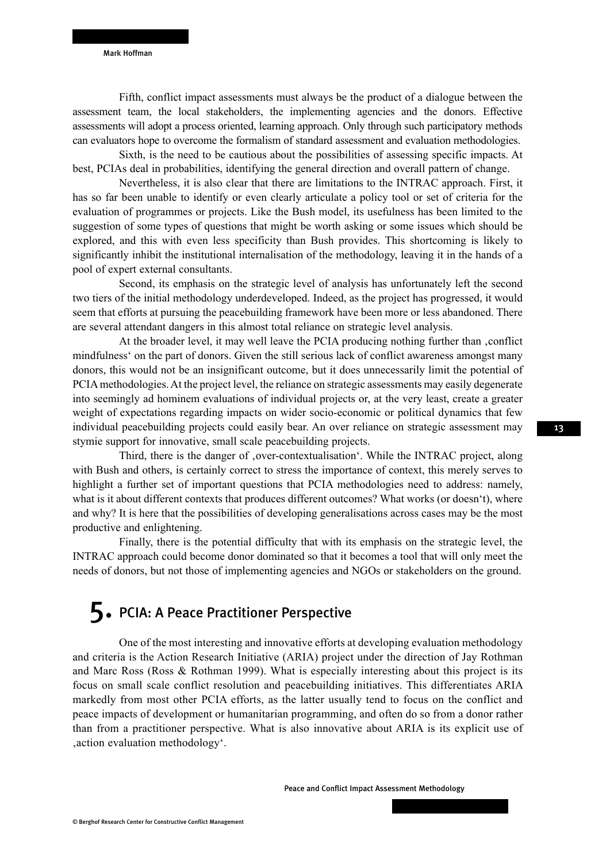Fifth, conflict impact assessments must always be the product of a dialogue between the assessment team, the local stakeholders, the implementing agencies and the donors. Effective assessments will adopt a process oriented, learning approach. Only through such participatory methods can evaluators hope to overcome the formalism of standard assessment and evaluation methodologies.

Sixth, is the need to be cautious about the possibilities of assessing specific impacts. At best, PCIAs deal in probabilities, identifying the general direction and overall pattern of change.

Nevertheless, it is also clear that there are limitations to the INTRAC approach. First, it has so far been unable to identify or even clearly articulate a policy tool or set of criteria for the evaluation of programmes or projects. Like the Bush model, its usefulness has been limited to the suggestion of some types of questions that might be worth asking or some issues which should be explored, and this with even less specificity than Bush provides. This shortcoming is likely to significantly inhibit the institutional internalisation of the methodology, leaving it in the hands of a pool of expert external consultants.

Second, its emphasis on the strategic level of analysis has unfortunately left the second two tiers of the initial methodology underdeveloped. Indeed, as the project has progressed, it would seem that efforts at pursuing the peacebuilding framework have been more or less abandoned. There are several attendant dangers in this almost total reliance on strategic level analysis.

At the broader level, it may well leave the PCIA producing nothing further than , conflict mindfulness' on the part of donors. Given the still serious lack of conflict awareness amongst many donors, this would not be an insignificant outcome, but it does unnecessarily limit the potential of PCIA methodologies. At the project level, the reliance on strategic assessments may easily degenerate into seemingly ad hominem evaluations of individual projects or, at the very least, create a greater weight of expectations regarding impacts on wider socio-economic or political dynamics that few individual peacebuilding projects could easily bear. An over reliance on strategic assessment may stymie support for innovative, small scale peacebuilding projects.

Third, there is the danger of , over-contextualisation'. While the INTRAC project, along with Bush and others, is certainly correct to stress the importance of context, this merely serves to highlight a further set of important questions that PCIA methodologies need to address: namely, what is it about different contexts that produces different outcomes? What works (or doesn't), where and why? It is here that the possibilities of developing generalisations across cases may be the most productive and enlightening.

Finally, there is the potential difficulty that with its emphasis on the strategic level, the INTRAC approach could become donor dominated so that it becomes a tool that will only meet the needs of donors, but not those of implementing agencies and NGOs or stakeholders on the ground.

## 5. PCIA: A Peace Practitioner Perspective

One of the most interesting and innovative efforts at developing evaluation methodology and criteria is the Action Research Initiative (ARIA) project under the direction of Jay Rothman and Marc Ross (Ross & Rothman 1999). What is especially interesting about this project is its focus on small scale conflict resolution and peacebuilding initiatives. This differentiates ARIA markedly from most other PCIA efforts, as the latter usually tend to focus on the conflict and peace impacts of development or humanitarian programming, and often do so from a donor rather than from a practitioner perspective. What is also innovative about ARIA is its explicit use of 'action evaluation methodology'.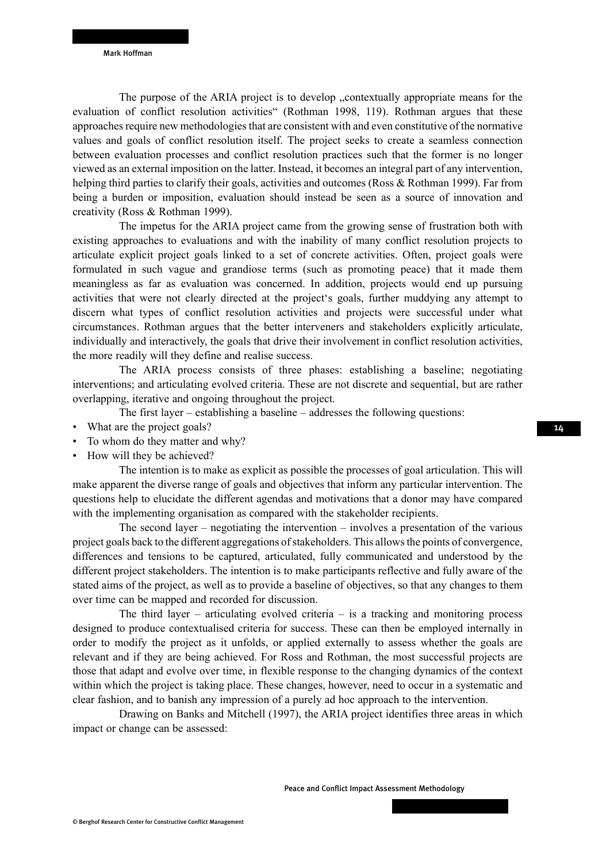The purpose of the ARIA project is to develop "contextually appropriate means for the evaluation of conflict resolution activities" (Rothman 1998, 119). Rothman argues that these approaches require new methodologies that are consistent with and even constitutive of the normative values and goals of conflict resolution itself. The project seeks to create a seamless connection between evaluation processes and conflict resolution practices such that the former is no longer viewed as an external imposition on the latter. Instead, it becomes an integral part of any intervention, helping third parties to clarify their goals, activities and outcomes (Ross & Rothman 1999). Far from being a burden or imposition, evaluation should instead be seen as a source of innovation and creativity (Ross & Rothman 1999).

The impetus for the ARIA project came from the growing sense of frustration both with existing approaches to evaluations and with the inability of many conflict resolution projects to articulate explicit project goals linked to a set of concrete activities. Often, project goals were formulated in such vague and grandiose terms (such as promoting peace) that it made them meaningless as far as evaluation was concerned. In addition, projects would end up pursuing activities that were not clearly directed at the project's goals, further muddying any attempt to discern what types of conflict resolution activities and projects were successful under what circumstances. Rothman argues that the better interveners and stakeholders explicitly articulate, individually and interactively, the goals that drive their involvement in conflict resolution activities, the more readily will they define and realise success.

The ARIA process consists of three phases: establishing a baseline; negotiating interventions; and articulating evolved criteria. These are not discrete and sequential, but are rather overlapping, iterative and ongoing throughout the project.

The first layer – establishing a baseline – addresses the following questions:

- What are the project goals?
- To whom do they matter and why?
- How will they be achieved?

The intention is to make as explicit as possible the processes of goal articulation. This will make apparent the diverse range of goals and objectives that inform any particular intervention. The questions help to elucidate the different agendas and motivations that a donor may have compared with the implementing organisation as compared with the stakeholder recipients.

The second layer – negotiating the intervention – involves a presentation of the various project goals back to the different aggregations of stakeholders. This allows the points of convergence, differences and tensions to be captured, articulated, fully communicated and understood by the different project stakeholders. The intention is to make participants reflective and fully aware of the stated aims of the project, as well as to provide a baseline of objectives, so that any changes to them over time can be mapped and recorded for discussion.

The third layer – articulating evolved criteria – is a tracking and monitoring process designed to produce contextualised criteria for success. These can then be employed internally in order to modify the project as it unfolds, or applied externally to assess whether the goals are relevant and if they are being achieved. For Ross and Rothman, the most successful projects are those that adapt and evolve over time, in flexible response to the changing dynamics of the context within which the project is taking place. These changes, however, need to occur in a systematic and clear fashion, and to banish any impression of a purely ad hoc approach to the intervention.

Drawing on Banks and Mitchell (1997), the ARIA project identifies three areas in which impact or change can be assessed:

14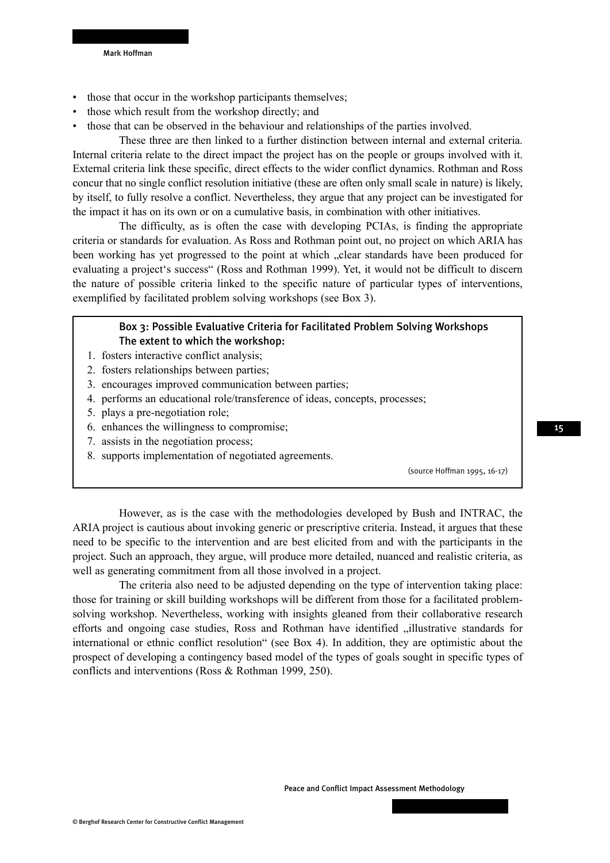- those that occur in the workshop participants themselves;
- those which result from the workshop directly; and
- those that can be observed in the behaviour and relationships of the parties involved.

These three are then linked to a further distinction between internal and external criteria. Internal criteria relate to the direct impact the project has on the people or groups involved with it. External criteria link these specific, direct effects to the wider conflict dynamics. Rothman and Ross concur that no single conflict resolution initiative (these are often only small scale in nature) is likely, by itself, to fully resolve a conflict. Nevertheless, they argue that any project can be investigated for the impact it has on its own or on a cumulative basis, in combination with other initiatives.

The difficulty, as is often the case with developing PCIAs, is finding the appropriate criteria or standards for evaluation. As Ross and Rothman point out, no project on which ARIA has been working has yet progressed to the point at which "clear standards have been produced for evaluating a project's success" (Ross and Rothman 1999). Yet, it would not be difficult to discern the nature of possible criteria linked to the specific nature of particular types of interventions, exemplified by facilitated problem solving workshops (see Box 3).

#### Box 3: Possible Evaluative Criteria for Facilitated Problem Solving Workshops The extent to which the workshop:

- 1. fosters interactive conflict analysis;
- 2. fosters relationships between parties;
- 3. encourages improved communication between parties;
- 4. performs an educational role/transference of ideas, concepts, processes;
- 5. plays a pre-negotiation role;
- 6. enhances the willingness to compromise;
- 7. assists in the negotiation process;
- 8. supports implementation of negotiated agreements.

(source Hoffman 1995, 16-17)

However, as is the case with the methodologies developed by Bush and INTRAC, the ARIA project is cautious about invoking generic or prescriptive criteria. Instead, it argues that these need to be specific to the intervention and are best elicited from and with the participants in the project. Such an approach, they argue, will produce more detailed, nuanced and realistic criteria, as well as generating commitment from all those involved in a project.

The criteria also need to be adjusted depending on the type of intervention taking place: those for training or skill building workshops will be different from those for a facilitated problemsolving workshop. Nevertheless, working with insights gleaned from their collaborative research efforts and ongoing case studies, Ross and Rothman have identified "illustrative standards for international or ethnic conflict resolution" (see Box 4). In addition, they are optimistic about the prospect of developing a contingency based model of the types of goals sought in specific types of conflicts and interventions (Ross & Rothman 1999, 250).

15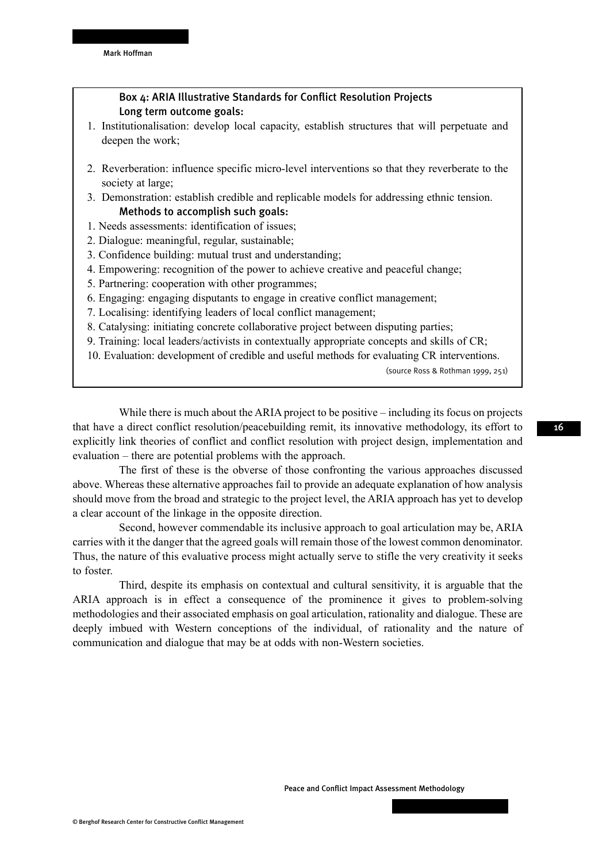#### Box 4: ARIA Illustrative Standards for Conflict Resolution Projects Long term outcome goals:

- 1. Institutionalisation: develop local capacity, establish structures that will perpetuate and deepen the work;
- 2. Reverberation: influence specific micro-level interventions so that they reverberate to the society at large;
- 3. Demonstration: establish credible and replicable models for addressing ethnic tension. Methods to accomplish such goals:
- 1. Needs assessments: identification of issues;
- 2. Dialogue: meaningful, regular, sustainable;
- 3. Confidence building: mutual trust and understanding;
- 4. Empowering: recognition of the power to achieve creative and peaceful change;
- 5. Partnering: cooperation with other programmes;
- 6. Engaging: engaging disputants to engage in creative conflict management;
- 7. Localising: identifying leaders of local conflict management;
- 8. Catalysing: initiating concrete collaborative project between disputing parties;
- 9. Training: local leaders/activists in contextually appropriate concepts and skills of CR;
- 10. Evaluation: development of credible and useful methods for evaluating CR interventions.

(source Ross & Rothman 1999, 251)

While there is much about the ARIA project to be positive – including its focus on projects that have a direct conflict resolution/peacebuilding remit, its innovative methodology, its effort to explicitly link theories of conflict and conflict resolution with project design, implementation and evaluation – there are potential problems with the approach.

The first of these is the obverse of those confronting the various approaches discussed above. Whereas these alternative approaches fail to provide an adequate explanation of how analysis should move from the broad and strategic to the project level, the ARIA approach has yet to develop a clear account of the linkage in the opposite direction.

Second, however commendable its inclusive approach to goal articulation may be, ARIA carries with it the danger that the agreed goals will remain those of the lowest common denominator. Thus, the nature of this evaluative process might actually serve to stifle the very creativity it seeks to foster.

Third, despite its emphasis on contextual and cultural sensitivity, it is arguable that the ARIA approach is in effect a consequence of the prominence it gives to problem-solving methodologies and their associated emphasis on goal articulation, rationality and dialogue. These are deeply imbued with Western conceptions of the individual, of rationality and the nature of communication and dialogue that may be at odds with non-Western societies.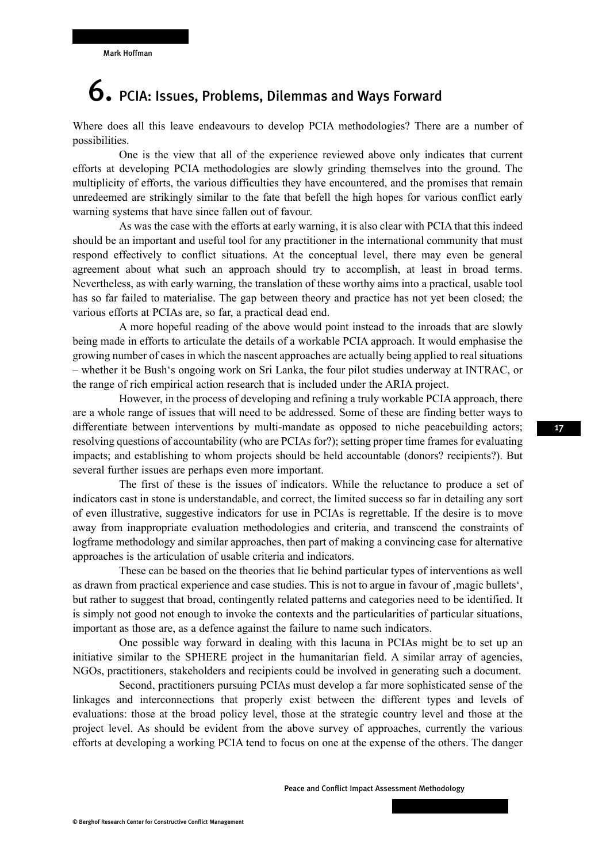# $6.$  PCIA: Issues, Problems, Dilemmas and Ways Forward

Where does all this leave endeavours to develop PCIA methodologies? There are a number of possibilities.

One is the view that all of the experience reviewed above only indicates that current efforts at developing PCIA methodologies are slowly grinding themselves into the ground. The multiplicity of efforts, the various difficulties they have encountered, and the promises that remain unredeemed are strikingly similar to the fate that befell the high hopes for various conflict early warning systems that have since fallen out of favour.

As was the case with the efforts at early warning, it is also clear with PCIA that this indeed should be an important and useful tool for any practitioner in the international community that must respond effectively to conflict situations. At the conceptual level, there may even be general agreement about what such an approach should try to accomplish, at least in broad terms. Nevertheless, as with early warning, the translation of these worthy aims into a practical, usable tool has so far failed to materialise. The gap between theory and practice has not yet been closed; the various efforts at PCIAs are, so far, a practical dead end.

A more hopeful reading of the above would point instead to the inroads that are slowly being made in efforts to articulate the details of a workable PCIA approach. It would emphasise the growing number of cases in which the nascent approaches are actually being applied to real situations – whether it be Bush's ongoing work on Sri Lanka, the four pilot studies underway at INTRAC, or the range of rich empirical action research that is included under the ARIA project.

However, in the process of developing and refining a truly workable PCIA approach, there are a whole range of issues that will need to be addressed. Some of these are finding better ways to differentiate between interventions by multi-mandate as opposed to niche peacebuilding actors; resolving questions of accountability (who are PCIAs for?); setting proper time frames for evaluating impacts; and establishing to whom projects should be held accountable (donors? recipients?). But several further issues are perhaps even more important.

The first of these is the issues of indicators. While the reluctance to produce a set of indicators cast in stone is understandable, and correct, the limited success so far in detailing any sort of even illustrative, suggestive indicators for use in PCIAs is regrettable. If the desire is to move away from inappropriate evaluation methodologies and criteria, and transcend the constraints of logframe methodology and similar approaches, then part of making a convincing case for alternative approaches is the articulation of usable criteria and indicators.

These can be based on the theories that lie behind particular types of interventions as well as drawn from practical experience and case studies. This is not to argue in favour of , magic bullets', but rather to suggest that broad, contingently related patterns and categories need to be identified. It is simply not good not enough to invoke the contexts and the particularities of particular situations, important as those are, as a defence against the failure to name such indicators.

One possible way forward in dealing with this lacuna in PCIAs might be to set up an initiative similar to the SPHERE project in the humanitarian field. A similar array of agencies, NGOs, practitioners, stakeholders and recipients could be involved in generating such a document.

Second, practitioners pursuing PCIAs must develop a far more sophisticated sense of the linkages and interconnections that properly exist between the different types and levels of evaluations: those at the broad policy level, those at the strategic country level and those at the project level. As should be evident from the above survey of approaches, currently the various efforts at developing a working PCIA tend to focus on one at the expense of the others. The danger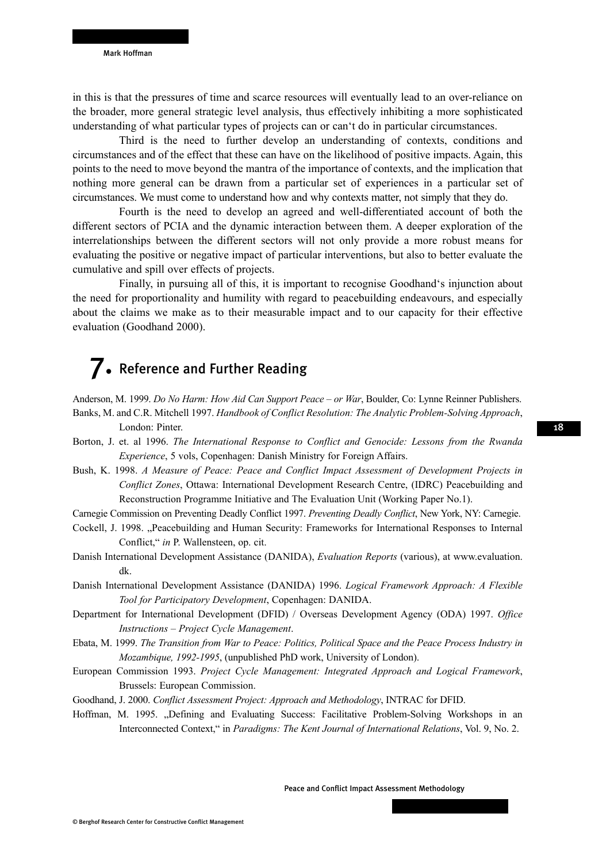in this is that the pressures of time and scarce resources will eventually lead to an over-reliance on the broader, more general strategic level analysis, thus effectively inhibiting a more sophisticated understanding of what particular types of projects can or can't do in particular circumstances.

Third is the need to further develop an understanding of contexts, conditions and circumstances and of the effect that these can have on the likelihood of positive impacts. Again, this points to the need to move beyond the mantra of the importance of contexts, and the implication that nothing more general can be drawn from a particular set of experiences in a particular set of circumstances. We must come to understand how and why contexts matter, not simply that they do.

Fourth is the need to develop an agreed and well-differentiated account of both the different sectors of PCIA and the dynamic interaction between them. A deeper exploration of the interrelationships between the different sectors will not only provide a more robust means for evaluating the positive or negative impact of particular interventions, but also to better evaluate the cumulative and spill over effects of projects.

Finally, in pursuing all of this, it is important to recognise Goodhand's injunction about the need for proportionality and humility with regard to peacebuilding endeavours, and especially about the claims we make as to their measurable impact and to our capacity for their effective evaluation (Goodhand 2000).

## 7. Reference and Further Reading

London: Pinter.

Anderson, M. 1999. *Do No Harm: How Aid Can Support Peace – or War*, Boulder, Co: Lynne Reinner Publishers. Banks, M. and C.R. Mitchell 1997. *Handbook of Conflict Resolution: The Analytic Problem-Solving Approach*,

- Borton, J. et. al 1996. *The International Response to Conflict and Genocide: Lessons from the Rwanda Experience*, 5 vols, Copenhagen: Danish Ministry for Foreign Affairs.
- Bush, K. 1998. *A Measure of Peace: Peace and Conflict Impact Assessment of Development Projects in Conflict Zones*, Ottawa: International Development Research Centre, (IDRC) Peacebuilding and Reconstruction Programme Initiative and The Evaluation Unit (Working Paper No.1).
- Carnegie Commission on Preventing Deadly Conflict 1997. *Preventing Deadly Conflict*, New York, NY: Carnegie.
- Cockell, J. 1998. "Peacebuilding and Human Security: Frameworks for International Responses to Internal Conflict," *in* P. Wallensteen, op. cit.
- Danish International Development Assistance (DANIDA), *Evaluation Reports* (various), at www.evaluation. dk.
- Danish International Development Assistance (DANIDA) 1996. *Logical Framework Approach: A Flexible Tool for Participatory Development*, Copenhagen: DANIDA.
- Department for International Development (DFID) / Overseas Development Agency (ODA) 1997. *Office Instructions – Project Cycle Management*.
- Ebata, M. 1999. *The Transition from War to Peace: Politics, Political Space and the Peace Process Industry in Mozambique, 1992-1995*, (unpublished PhD work, University of London).
- European Commission 1993. *Project Cycle Management: Integrated Approach and Logical Framework*, Brussels: European Commission.
- Goodhand, J. 2000. *Conflict Assessment Project: Approach and Methodology*, INTRAC for DFID.
- Hoffman, M. 1995. "Defining and Evaluating Success: Facilitative Problem-Solving Workshops in an Interconnected Context," in *Paradigms: The Kent Journal of International Relations*, Vol. 9, No. 2.